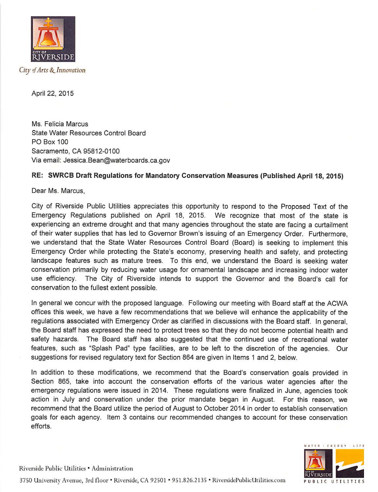

April 22, 2015

Ms. Felicia Marcus State Water Resources Control Board PO Box 100 Sacramento, OA 95812-0100 Via email; Jessica.Bean@waterboards.ca.gov

## RE: SWRCB Draft Regulations for Mandatory Conservation Measures (Published April 18, 2015)

Dear Ms. Marcus.

City of Riverside Public Utilities appreciates this opportunity to respond to the Proposed Text of the Emergency Regulations published on April 18, 2015. We recognize that most of the state is experiencing an extreme drought and that many agencies throughout the state are facing a curtailment of their water supplies that has led to Governor Brown's issuing of an Emergency Order. Furthermore, we understand that the State Water Resources Control Board (Board) is seeking to implement this Emergency Order while protecting the State's economy, preserving health and safety, and protecting landscape features such as mature trees. To this end, we understand the Board is seeking water conservation primarily by reducing water usage for ornamental landscape and increasing indoor water use efficiency. The City of Riverside intends to support the Governor and the Board's call for conservation to the fullest extent possible.

In general we concur with the proposed language. Following our meeting with Board staff at the ACWA offices this week, we have a few recommendations that we believe will enhance the applicability of the regulations associated with Emergency Order as clarified in discussions with the Board staff. In general, the Board staff has expressed the need to protect trees so that they do not become potential health and safety hazards. The Board staff has also suggested that the continued use of recreational water features, such as "Splash Pad" type facilities, are to be left to the discretion of the agencies. Our suggestions for revised regulatory text for Section 864 are given in Items 1 and 2, below.

In addition to these modifications, we recommend that the Board's conservation goals provided in Section 865, take into account the conservation efforts of the various water agencies after the emergency regulations were issued in 2014. These regulations were finalized in June, agencies took action in July and conservation under the prior mandate began in August. For this reason, we recommend that the Board utilize the period of August to October 2014 in order to establish conservation goals for each agency. Item 3 contains our recommended changes to account for these conservation efforts.



Riverside Public Utilities • Administration 3750 University Avenue, 3rd floor • Riverside, CA 92501 • 951.826.2135 • RiversidePublicUtilities.com PUBLIC UTILITIES